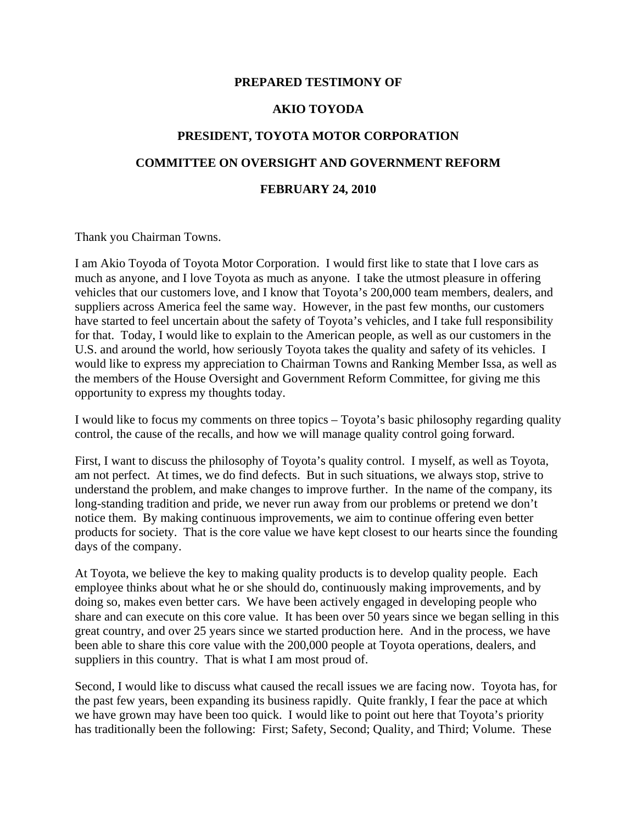## **PREPARED TESTIMONY OF**

## **AKIO TOYODA**

## **PRESIDENT, TOYOTA MOTOR CORPORATION COMMITTEE ON OVERSIGHT AND GOVERNMENT REFORM FEBRUARY 24, 2010**

Thank you Chairman Towns.

I am Akio Toyoda of Toyota Motor Corporation. I would first like to state that I love cars as much as anyone, and I love Toyota as much as anyone. I take the utmost pleasure in offering vehicles that our customers love, and I know that Toyota's 200,000 team members, dealers, and suppliers across America feel the same way. However, in the past few months, our customers have started to feel uncertain about the safety of Toyota's vehicles, and I take full responsibility for that. Today, I would like to explain to the American people, as well as our customers in the U.S. and around the world, how seriously Toyota takes the quality and safety of its vehicles. I would like to express my appreciation to Chairman Towns and Ranking Member Issa, as well as the members of the House Oversight and Government Reform Committee, for giving me this opportunity to express my thoughts today.

I would like to focus my comments on three topics – Toyota's basic philosophy regarding quality control, the cause of the recalls, and how we will manage quality control going forward.

First, I want to discuss the philosophy of Toyota's quality control. I myself, as well as Toyota, am not perfect. At times, we do find defects. But in such situations, we always stop, strive to understand the problem, and make changes to improve further. In the name of the company, its long-standing tradition and pride, we never run away from our problems or pretend we don't notice them. By making continuous improvements, we aim to continue offering even better products for society. That is the core value we have kept closest to our hearts since the founding days of the company.

At Toyota, we believe the key to making quality products is to develop quality people. Each employee thinks about what he or she should do, continuously making improvements, and by doing so, makes even better cars. We have been actively engaged in developing people who share and can execute on this core value. It has been over 50 years since we began selling in this great country, and over 25 years since we started production here. And in the process, we have been able to share this core value with the 200,000 people at Toyota operations, dealers, and suppliers in this country. That is what I am most proud of.

Second, I would like to discuss what caused the recall issues we are facing now. Toyota has, for the past few years, been expanding its business rapidly. Quite frankly, I fear the pace at which we have grown may have been too quick. I would like to point out here that Toyota's priority has traditionally been the following: First; Safety, Second; Quality, and Third; Volume. These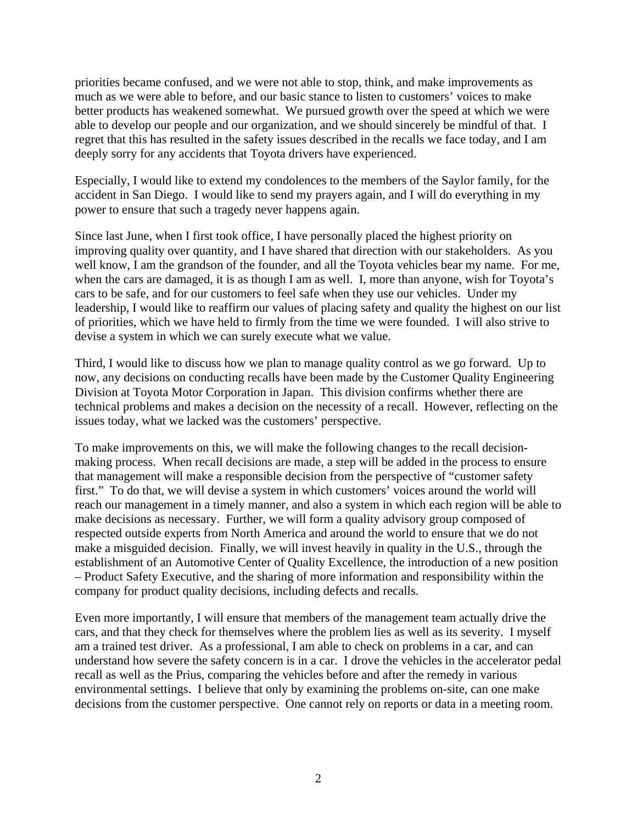priorities became confused, and we were not able to stop, think, and make improvements as much as we were able to before, and our basic stance to listen to customers' voices to make better products has weakened somewhat. We pursued growth over the speed at which we were able to develop our people and our organization, and we should sincerely be mindful of that. I regret that this has resulted in the safety issues described in the recalls we face today, and I am deeply sorry for any accidents that Toyota drivers have experienced.

Especially, I would like to extend my condolences to the members of the Saylor family, for the accident in San Diego. I would like to send my prayers again, and I will do everything in my power to ensure that such a tragedy never happens again.

Since last June, when I first took office, I have personally placed the highest priority on improving quality over quantity, and I have shared that direction with our stakeholders. As you well know, I am the grandson of the founder, and all the Toyota vehicles bear my name. For me, when the cars are damaged, it is as though I am as well. I, more than anyone, wish for Toyota's cars to be safe, and for our customers to feel safe when they use our vehicles. Under my leadership, I would like to reaffirm our values of placing safety and quality the highest on our list of priorities, which we have held to firmly from the time we were founded. I will also strive to devise a system in which we can surely execute what we value.

Third, I would like to discuss how we plan to manage quality control as we go forward. Up to now, any decisions on conducting recalls have been made by the Customer Quality Engineering Division at Toyota Motor Corporation in Japan. This division confirms whether there are technical problems and makes a decision on the necessity of a recall. However, reflecting on the issues today, what we lacked was the customers' perspective.

To make improvements on this, we will make the following changes to the recall decisionmaking process. When recall decisions are made, a step will be added in the process to ensure that management will make a responsible decision from the perspective of "customer safety first." To do that, we will devise a system in which customers' voices around the world will reach our management in a timely manner, and also a system in which each region will be able to make decisions as necessary. Further, we will form a quality advisory group composed of respected outside experts from North America and around the world to ensure that we do not make a misguided decision. Finally, we will invest heavily in quality in the U.S., through the establishment of an Automotive Center of Quality Excellence, the introduction of a new position – Product Safety Executive, and the sharing of more information and responsibility within the company for product quality decisions, including defects and recalls.

Even more importantly, I will ensure that members of the management team actually drive the cars, and that they check for themselves where the problem lies as well as its severity. I myself am a trained test driver. As a professional, I am able to check on problems in a car, and can understand how severe the safety concern is in a car. I drove the vehicles in the accelerator pedal recall as well as the Prius, comparing the vehicles before and after the remedy in various environmental settings. I believe that only by examining the problems on-site, can one make decisions from the customer perspective. One cannot rely on reports or data in a meeting room.